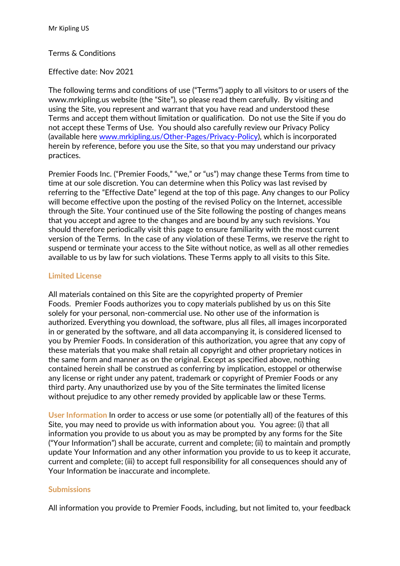#### Terms & Conditions

#### Effective date: Nov 2021

The following terms and conditions of use ("Terms") apply to all visitors to or users of the www.mrkipling.us website (the "Site"), so please read them carefully. By visiting and using the Site, you represent and warrant that you have read and understood these Terms and accept them without limitation or qualification. Do not use the Site if you do not accept these Terms of Use. You should also carefully review our Privacy Policy (available here [www.mrkipling.us/Other-Pages/Privacy-Policy\)](https://www.mrkipling.us/Other-Pages/Privacy-Policy), which is incorporated herein by reference, before you use the Site, so that you may understand our privacy practices.

Premier Foods Inc. ("Premier Foods," "we," or "us") may change these Terms from time to time at our sole discretion. You can determine when this Policy was last revised by referring to the "Effective Date" legend at the top of this page. Any changes to our Policy will become effective upon the posting of the revised Policy on the Internet, accessible through the Site. Your continued use of the Site following the posting of changes means that you accept and agree to the changes and are bound by any such revisions. You should therefore periodically visit this page to ensure familiarity with the most current version of the Terms. In the case of any violation of these Terms, we reserve the right to suspend or terminate your access to the Site without notice, as well as all other remedies available to us by law for such violations. These Terms apply to all visits to this Site.

#### **Limited License**

All materials contained on this Site are the copyrighted property of Premier Foods. Premier Foods authorizes you to copy materials published by us on this Site solely for your personal, non-commercial use. No other use of the information is authorized. Everything you download, the software, plus all files, all images incorporated in or generated by the software, and all data accompanying it, is considered licensed to you by Premier Foods. In consideration of this authorization, you agree that any copy of these materials that you make shall retain all copyright and other proprietary notices in the same form and manner as on the original. Except as specified above, nothing contained herein shall be construed as conferring by implication, estoppel or otherwise any license or right under any patent, trademark or copyright of Premier Foods or any third party. Any unauthorized use by you of the Site terminates the limited license without prejudice to any other remedy provided by applicable law or these Terms.

**User Information** In order to access or use some (or potentially all) of the features of this Site, you may need to provide us with information about you. You agree: (i) that all information you provide to us about you as may be prompted by any forms for the Site ("Your Information") shall be accurate, current and complete; (ii) to maintain and promptly update Your Information and any other information you provide to us to keep it accurate, current and complete; (iii) to accept full responsibility for all consequences should any of Your Information be inaccurate and incomplete.

#### **Submissions**

All information you provide to Premier Foods, including, but not limited to, your feedback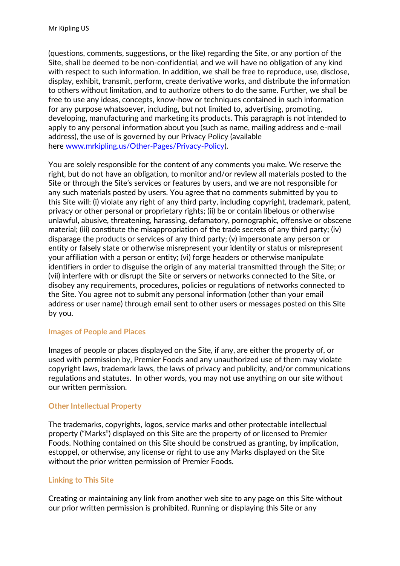(questions, comments, suggestions, or the like) regarding the Site, or any portion of the Site, shall be deemed to be non-confidential, and we will have no obligation of any kind with respect to such information. In addition, we shall be free to reproduce, use, disclose, display, exhibit, transmit, perform, create derivative works, and distribute the information to others without limitation, and to authorize others to do the same. Further, we shall be free to use any ideas, concepts, know-how or techniques contained in such information for any purpose whatsoever, including, but not limited to, advertising, promoting, developing, manufacturing and marketing its products. This paragraph is not intended to apply to any personal information about you (such as name, mailing address and e-mail address), the use of is governed by our Privacy Policy (available here [www.mrkipling.us/Other-Pages/Privacy-Policy\)](https://www.mrkipling.us/Other-Pages/Privacy-Policy).

You are solely responsible for the content of any comments you make. We reserve the right, but do not have an obligation, to monitor and/or review all materials posted to the Site or through the Site's services or features by users, and we are not responsible for any such materials posted by users. You agree that no comments submitted by you to this Site will: (i) violate any right of any third party, including copyright, trademark, patent, privacy or other personal or proprietary rights; (ii) be or contain libelous or otherwise unlawful, abusive, threatening, harassing, defamatory, pornographic, offensive or obscene material; (iii) constitute the misappropriation of the trade secrets of any third party; (iv) disparage the products or services of any third party; (v) impersonate any person or entity or falsely state or otherwise misrepresent your identity or status or misrepresent your affiliation with a person or entity; (vi) forge headers or otherwise manipulate identifiers in order to disguise the origin of any material transmitted through the Site; or (vii) interfere with or disrupt the Site or servers or networks connected to the Site, or disobey any requirements, procedures, policies or regulations of networks connected to the Site. You agree not to submit any personal information (other than your email address or user name) through email sent to other users or messages posted on this Site by you.

## **Images of People and Places**

Images of people or places displayed on the Site, if any, are either the property of, or used with permission by, Premier Foods and any unauthorized use of them may violate copyright laws, trademark laws, the laws of privacy and publicity, and/or communications regulations and statutes. In other words, you may not use anything on our site without our written permission.

# **Other Intellectual Property**

The trademarks, copyrights, logos, service marks and other protectable intellectual property ("Marks") displayed on this Site are the property of or licensed to Premier Foods. Nothing contained on this Site should be construed as granting, by implication, estoppel, or otherwise, any license or right to use any Marks displayed on the Site without the prior written permission of Premier Foods.

# **Linking to This Site**

Creating or maintaining any link from another web site to any page on this Site without our prior written permission is prohibited. Running or displaying this Site or any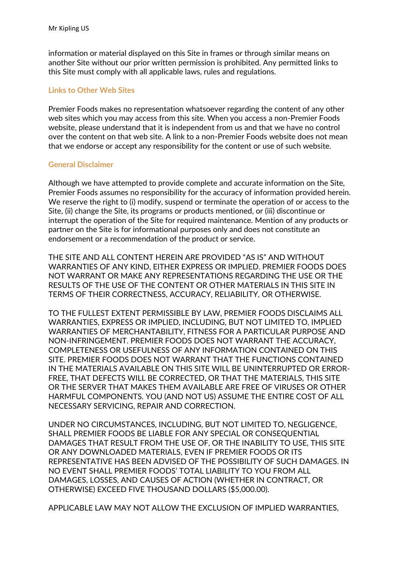information or material displayed on this Site in frames or through similar means on another Site without our prior written permission is prohibited. Any permitted links to this Site must comply with all applicable laws, rules and regulations.

## **Links to Other Web Sites**

Premier Foods makes no representation whatsoever regarding the content of any other web sites which you may access from this site. When you access a non-Premier Foods website, please understand that it is independent from us and that we have no control over the content on that web site. A link to a non-Premier Foods website does not mean that we endorse or accept any responsibility for the content or use of such website.

## **General Disclaimer**

Although we have attempted to provide complete and accurate information on the Site, Premier Foods assumes no responsibility for the accuracy of information provided herein. We reserve the right to (i) modify, suspend or terminate the operation of or access to the Site, (ii) change the Site, its programs or products mentioned, or (iii) discontinue or interrupt the operation of the Site for required maintenance. Mention of any products or partner on the Site is for informational purposes only and does not constitute an endorsement or a recommendation of the product or service.

THE SITE AND ALL CONTENT HEREIN ARE PROVIDED "AS IS" AND WITHOUT WARRANTIES OF ANY KIND, EITHER EXPRESS OR IMPLIED. PREMIER FOODS DOES NOT WARRANT OR MAKE ANY REPRESENTATIONS REGARDING THE USE OR THE RESULTS OF THE USE OF THE CONTENT OR OTHER MATERIALS IN THIS SITE IN TERMS OF THEIR CORRECTNESS, ACCURACY, RELIABILITY, OR OTHERWISE.

TO THE FULLEST EXTENT PERMISSIBLE BY LAW, PREMIER FOODS DISCLAIMS ALL WARRANTIES, EXPRESS OR IMPLIED, INCLUDING, BUT NOT LIMITED TO, IMPLIED WARRANTIES OF MERCHANTABILITY, FITNESS FOR A PARTICULAR PURPOSE AND NON-INFRINGEMENT. PREMIER FOODS DOES NOT WARRANT THE ACCURACY, COMPLETENESS OR USEFULNESS OF ANY INFORMATION CONTAINED ON THIS SITE. PREMIER FOODS DOES NOT WARRANT THAT THE FUNCTIONS CONTAINED IN THE MATERIALS AVAILABLE ON THIS SITE WILL BE UNINTERRUPTED OR ERROR-FREE, THAT DEFECTS WILL BE CORRECTED, OR THAT THE MATERIALS, THIS SITE OR THE SERVER THAT MAKES THEM AVAILABLE ARE FREE OF VIRUSES OR OTHER HARMFUL COMPONENTS. YOU (AND NOT US) ASSUME THE ENTIRE COST OF ALL NECESSARY SERVICING, REPAIR AND CORRECTION.

UNDER NO CIRCUMSTANCES, INCLUDING, BUT NOT LIMITED TO, NEGLIGENCE, SHALL PREMIER FOODS BE LIABLE FOR ANY SPECIAL OR CONSEQUENTIAL DAMAGES THAT RESULT FROM THE USE OF, OR THE INABILITY TO USE, THIS SITE OR ANY DOWNLOADED MATERIALS, EVEN IF PREMIER FOODS OR ITS REPRESENTATIVE HAS BEEN ADVISED OF THE POSSIBILITY OF SUCH DAMAGES. IN NO EVENT SHALL PREMIER FOODS' TOTAL LIABILITY TO YOU FROM ALL DAMAGES, LOSSES, AND CAUSES OF ACTION (WHETHER IN CONTRACT, OR OTHERWISE) EXCEED FIVE THOUSAND DOLLARS (\$5,000.00).

APPLICABLE LAW MAY NOT ALLOW THE EXCLUSION OF IMPLIED WARRANTIES,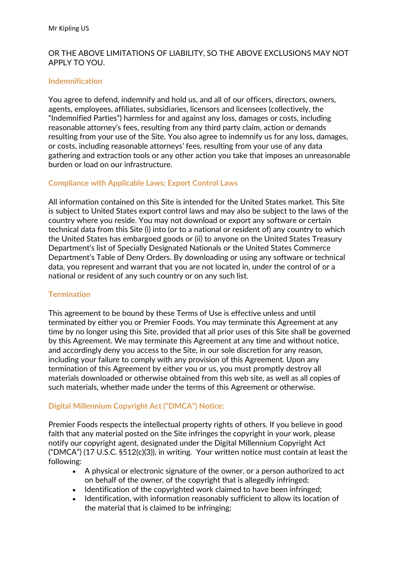## OR THE ABOVE LIMITATIONS OF LIABILITY, SO THE ABOVE EXCLUSIONS MAY NOT APPLY TO YOU.

## **Indemnification**

You agree to defend, indemnify and hold us, and all of our officers, directors, owners, agents, employees, affiliates, subsidiaries, licensors and licensees (collectively, the "Indemnified Parties") harmless for and against any loss, damages or costs, including reasonable attorney's fees, resulting from any third party claim, action or demands resulting from your use of the Site. You also agree to indemnify us for any loss, damages, or costs, including reasonable attorneys' fees, resulting from your use of any data gathering and extraction tools or any other action you take that imposes an unreasonable burden or load on our infrastructure.

## **Compliance with Applicable Laws; Export Control Laws**

All information contained on this Site is intended for the United States market. This Site is subject to United States export control laws and may also be subject to the laws of the country where you reside. You may not download or export any software or certain technical data from this Site (i) into (or to a national or resident of) any country to which the United States has embargoed goods or (ii) to anyone on the United States Treasury Department's list of Specially Designated Nationals or the United States Commerce Department's Table of Deny Orders. By downloading or using any software or technical data, you represent and warrant that you are not located in, under the control of or a national or resident of any such country or on any such list.

## **Termination**

This agreement to be bound by these Terms of Use is effective unless and until terminated by either you or Premier Foods. You may terminate this Agreement at any time by no longer using this Site, provided that all prior uses of this Site shall be governed by this Agreement. We may terminate this Agreement at any time and without notice, and accordingly deny you access to the Site, in our sole discretion for any reason, including your failure to comply with any provision of this Agreement. Upon any termination of this Agreement by either you or us, you must promptly destroy all materials downloaded or otherwise obtained from this web site, as well as all copies of such materials, whether made under the terms of this Agreement or otherwise.

## **Digital Millennium Copyright Act ("DMCA") Notice:**

Premier Foods respects the intellectual property rights of others. If you believe in good faith that any material posted on the Site infringes the copyright in your work, please notify our copyright agent, designated under the Digital Millennium Copyright Act ("DMCA") (17 U.S.C. §512(c)(3)), in writing. Your written notice must contain at least the following:

- A physical or electronic signature of the owner, or a person authorized to act on behalf of the owner, of the copyright that is allegedly infringed;
- Identification of the copyrighted work claimed to have been infringed;
- Identification, with information reasonably sufficient to allow its location of the material that is claimed to be infringing;